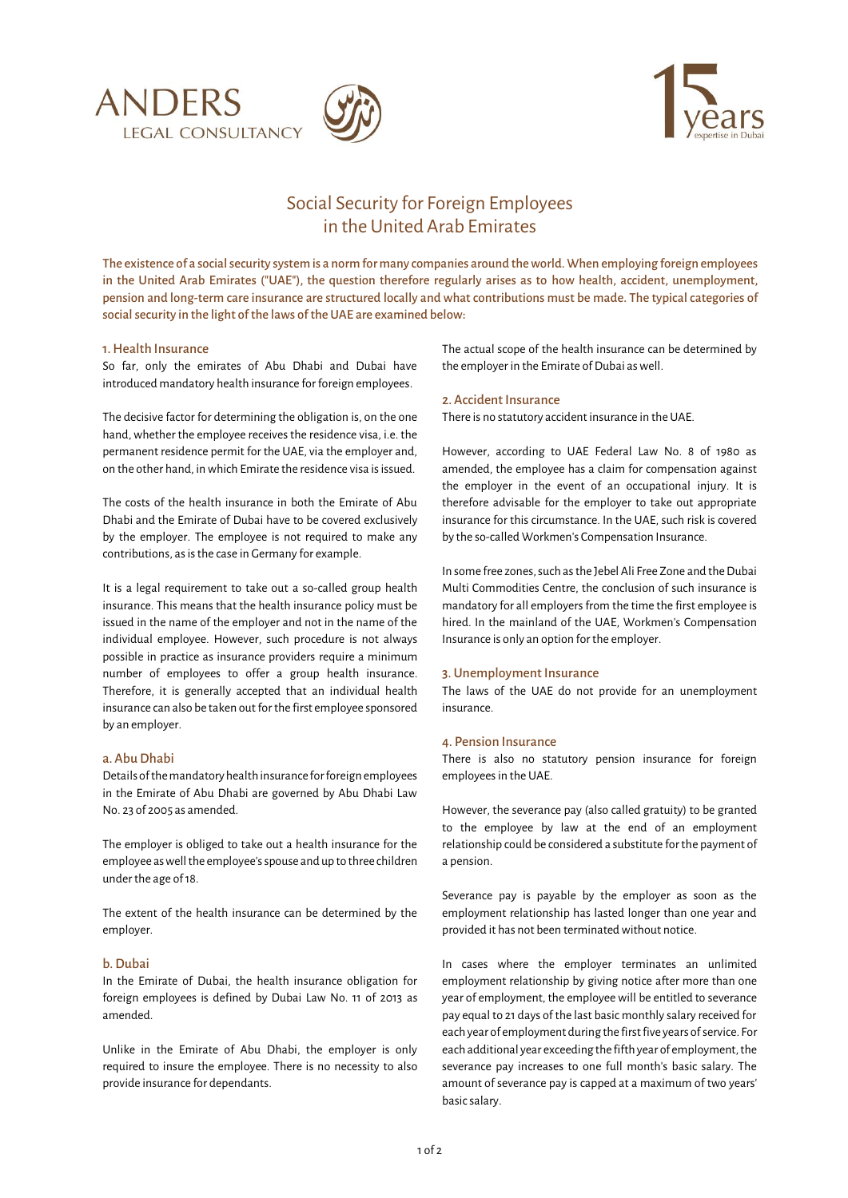





# Social Security for Foreign Employees in the United Arab Emirates

The existence of a social security system is a norm for many companies around the world. When employing foreign employees in the United Arab Emirates ("UAE"), the question therefore regularly arises as to how health, accident, unemployment, pension and long-term care insurance are structured locally and what contributions must be made. The typical categories of social security in the light of the laws of the UAE are examined below:

## 1. Health Insurance

So far, only the emirates of Abu Dhabi and Dubai have introduced mandatory health insurance for foreign employees.

The decisive factor for determining the obligation is, on the one hand, whether the employee receives the residence visa, i.e. the permanent residence permit for the UAE, via the employer and, on the other hand, in which Emirate the residence visa is issued.

The costs of the health insurance in both the Emirate of Abu Dhabi and the Emirate of Dubai have to be covered exclusively by the employer. The employee is not required to make any contributions, as is the case in Germany for example.

It is a legal requirement to take out a so-called group health insurance. This means that the health insurance policy must be issued in the name of the employer and not in the name of the individual employee. However, such procedure is not always possible in practice as insurance providers require a minimum number of employees to offer a group health insurance. Therefore, it is generally accepted that an individual health insurance can also be taken out for the first employee sponsored by an employer.

## a. Abu Dhabi

Details ofthemandatory health insurance for foreign employees in the Emirate of Abu Dhabi are governed by Abu Dhabi Law No. 23 of 2005 as amended.

The employer is obliged to take out a health insurance for the employee as well the employee's spouse and up to three children under the age of 18.

The extent of the health insurance can be determined by the employer.

## b. Dubai

In the Emirate of Dubai, the health insurance obligation for foreign employees is defined by Dubai Law No. 11 of 2013 as amended.

Unlike in the Emirate of Abu Dhabi, the employer is only required to insure the employee. There is no necessity to also provide insurance for dependants.

The actual scope of the health insurance can be determined by the employer in the Emirate of Dubai as well.

#### 2. Accident Insurance

There is no statutory accident insurance in the UAE.

However, according to UAE Federal Law No. 8 of 1980 as amended, the employee has a claim for compensation against the employer in the event of an occupational injury. It is therefore advisable for the employer to take out appropriate insurance for this circumstance. In the UAE, such risk is covered by the so-called Workmen's Compensation Insurance.

In some free zones, such as the Jebel Ali Free Zone and the Dubai Multi Commodities Centre, the conclusion of such insurance is mandatory for all employers from the time the first employee is hired. In the mainland of the UAE, Workmen's Compensation Insurance is only an option for the employer.

## 3. Unemployment Insurance

The laws of the UAE do not provide for an unemployment insurance.

#### 4. Pension Insurance

There is also no statutory pension insurance for foreign employees in the UAE.

However, the severance pay (also called gratuity) to be granted to the employee by law at the end of an employment relationship could be considered a substitute for the payment of a pension.

Severance pay is payable by the employer as soon as the employment relationship has lasted longer than one year and provided it has not been terminated without notice.

In cases where the employer terminates an unlimited employment relationship by giving notice after more than one year of employment, the employee will be entitled to severance pay equal to 21 days of the last basic monthly salary received for each year of employment during the first five years of service. For each additional year exceeding the fifth year of employment, the severance pay increases to one full month's basic salary. The amount of severance pay is capped at a maximum of two years' basic salary.